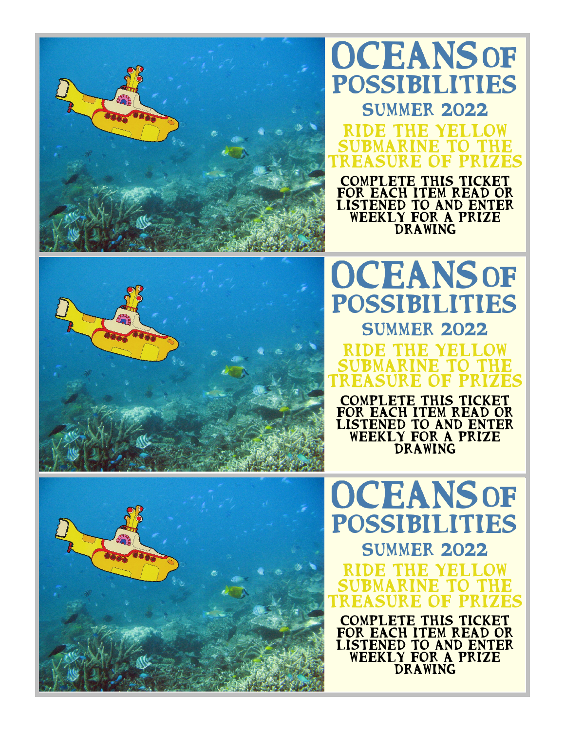

## **OCEANSOF** POSSIBILITIES **SUMMER 2022** Ride the yellow submarine to the

treasure of prizes Complete this ticket for each item read or listened to and enter weekly for a prize drawing



## POSSIBILITIES **SUMMER 2022** DE THE YEL submarine to the treasure of prizes

**OCEANSOF** 

Complete this ticket FOR EACH ITEM READ OR listened to and enter WEEKLY FOR A PRIZE drawing

**OCEANSOF** POSSIBILITIES **SUMMER 2022** Ride the yellow submarine to the treasure of prizes

COMPLETE THIS TICKET FOR EACH ITEM READ OR listened to and enter weekly for a prize drawing